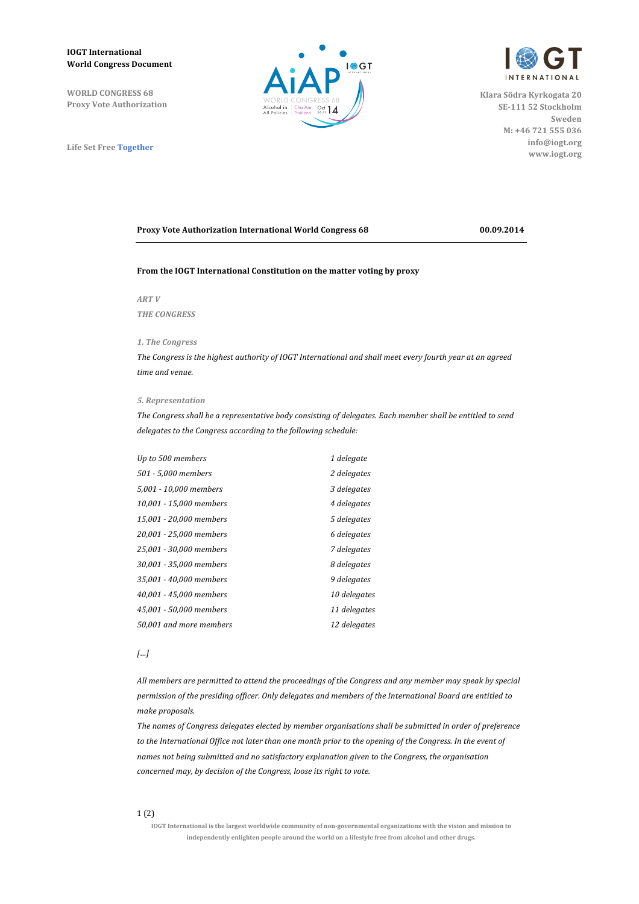# **IOGT** International **World Congress Document**

WORLD CONGRESS 68 **Proxy Vote Authorization**

**Life Set Free Together** 

**O**GT



**Klara Södra Kyrkogata 20 SE-111 52 Stockholm Sweden M: +46 721 555 036 info@iogt.org www.iogt.org**

**Proxy Vote Authorization International World Congress 68 <b>00.09.2014 00.09.2014** 

# From the IOGT International Constitution on the matter voting by proxy

*ART V* 

**THE CONGRESS** 

### *1. The Congress*

The Congress is the highest authority of IOGT International and shall meet every fourth year at an agreed *time and venue.*

#### *5. Representation*

The Congress shall be a representative body consisting of delegates. Each member shall be entitled to send *delegates to the Congress according to the following schedule:* 

| Up to 500 members       | 1 delegate   |
|-------------------------|--------------|
| 501 - 5,000 members     | 2 delegates  |
| 5,001 - 10,000 members  | 3 delegates  |
| 10,001 - 15,000 members | 4 delegates  |
| 15,001 - 20,000 members | 5 delegates  |
| 20,001 - 25,000 members | 6 delegates  |
| 25,001 - 30,000 members | 7 delegates  |
| 30,001 - 35,000 members | 8 delegates  |
| 35,001 - 40,000 members | 9 delegates  |
| 40,001 - 45,000 members | 10 delegates |
| 45,001 - 50,000 members | 11 delegates |
| 50,001 and more members | 12 delegates |

# *[…]*

All members are permitted to attend the proceedings of the Congress and any member may speak by special *permission of the presiding officer. Only delegates and members of the International Board are entitled to make proposals.*

The names of Congress delegates elected by member organisations shall be submitted in order of preference to the International Office not later than one month prior to the opening of the Congress. In the event of *names not being submitted and no satisfactory explanation given to the Congress, the organisation concerned may, by decision of the Congress, loose its right to vote.* 

#### 1 (2)

**IOGT** International is the largest worldwide community of non-governmental organizations with the vision and mission to independently enlighten people around the world on a lifestyle free from alcohol and other drugs.